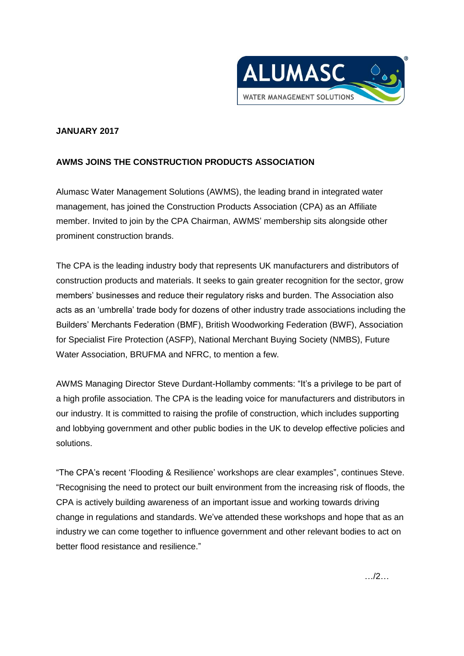

## **JANUARY 2017**

## **AWMS JOINS THE CONSTRUCTION PRODUCTS ASSOCIATION**

Alumasc Water Management Solutions (AWMS), the leading brand in integrated water management, has joined the Construction Products Association (CPA) as an Affiliate member. Invited to join by the CPA Chairman, AWMS' membership sits alongside other prominent construction brands.

The CPA is the leading industry body that represents UK manufacturers and distributors of construction products and materials. It seeks to gain greater recognition for the sector, grow members' businesses and reduce their regulatory risks and burden. The Association also acts as an 'umbrella' trade body for dozens of other industry trade associations including the Builders' Merchants Federation (BMF), British Woodworking Federation (BWF), Association for Specialist Fire Protection (ASFP), National Merchant Buying Society (NMBS), Future Water Association, BRUFMA and NFRC, to mention a few.

AWMS Managing Director Steve Durdant-Hollamby comments: "It's a privilege to be part of a high profile association. The CPA is the leading voice for manufacturers and distributors in our industry. It is committed to raising the profile of construction, which includes supporting and lobbying government and other public bodies in the UK to develop effective policies and solutions.

"The CPA's recent 'Flooding & Resilience' workshops are clear examples", continues Steve. "Recognising the need to protect our built environment from the increasing risk of floods, the CPA is actively building awareness of an important issue and working towards driving change in regulations and standards. We've attended these workshops and hope that as an industry we can come together to influence government and other relevant bodies to act on better flood resistance and resilience."

…/2…